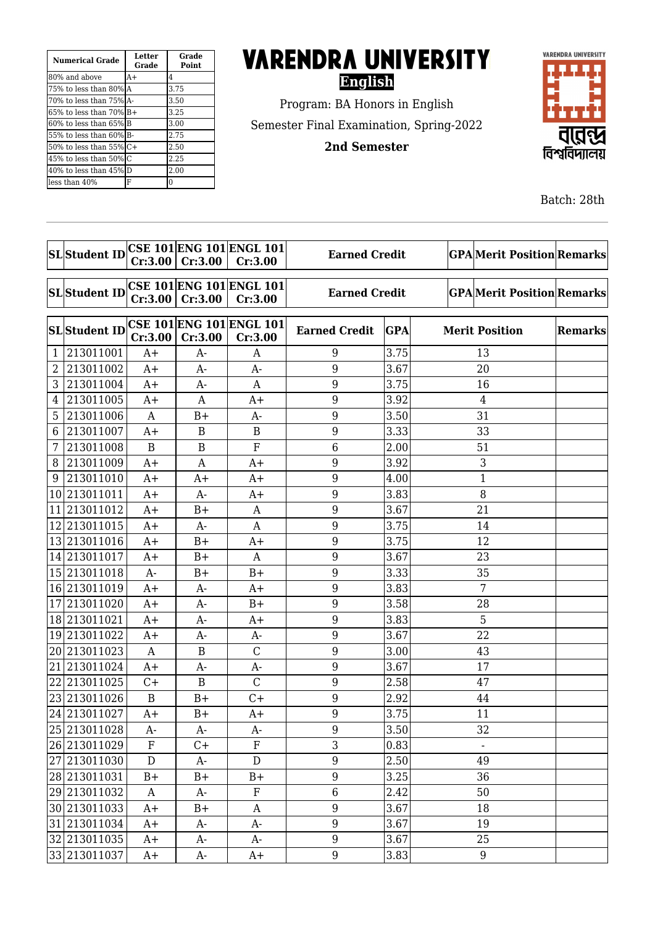| <b>Numerical Grade</b>   | Letter<br>Grade | Grade<br><b>Point</b> |  |
|--------------------------|-----------------|-----------------------|--|
| 180% and above           | $A+$            | 4                     |  |
| 75% to less than 80%IA   |                 | 3.75                  |  |
| 170% to less than 75%1A- |                 | 3.50                  |  |
| 165% to less than 70% B+ |                 | 3.25                  |  |
| 160% to less than 65%lB  |                 | 3.00                  |  |
| 155% to less than 60%IB- |                 | 2.75                  |  |
| l50% to less than 55% C+ |                 | 2.50                  |  |
| 45% to less than 50%IC   |                 | 2.25                  |  |
| 40% to less than 45% D   |                 | 2.00                  |  |
| lless than 40%           | F               | 0                     |  |

## **VARENDRA UNIVERSITY English**

Program: BA Honors in English Semester Final Examination, Spring-2022

**2nd Semester**



Batch: 28th

|              |                      |              |              | <b>CSE 101 ENG 101 ENGL 101</b> |                      |            |                                  |         |  |
|--------------|----------------------|--------------|--------------|---------------------------------|----------------------|------------|----------------------------------|---------|--|
|              | <b>SL</b> Student ID | Cr:3.00      | Cr:3.00      | Cr:3.00                         | <b>Earned Credit</b> |            | <b>GPAMerit Position Remarks</b> |         |  |
|              |                      |              |              |                                 |                      |            |                                  |         |  |
|              | <b>SL</b> Student ID |              |              | <b>CSE 101 ENG 101 ENGL 101</b> | <b>Earned Credit</b> |            | <b>GPAMerit Position Remarks</b> |         |  |
|              |                      | Cr:3.00      | Cr:3.00      | Cr:3.00                         |                      |            |                                  |         |  |
|              |                      |              |              | <b>CSE 101 ENG 101 ENGL 101</b> |                      |            |                                  |         |  |
|              | <b>SL</b> Student ID | Cr:3.00      | Cr:3.00      | Cr:3.00                         | <b>Earned Credit</b> | <b>GPA</b> | <b>Merit Position</b>            | Remarks |  |
| $\mathbf{1}$ | 213011001            | $A+$         | $A-$         | A                               | 9                    | 3.75       | 13                               |         |  |
| 2            | 213011002            | $A+$         | A-           | $A-$                            | 9                    | 3.67       | 20                               |         |  |
| 3            | 213011004            | A+           | A-           | A                               | 9                    | 3.75       | 16                               |         |  |
| 4            | 213011005            | $A+$         | A            | $A+$                            | 9                    | 3.92       | $\overline{4}$                   |         |  |
| 5            | 213011006            | A            | $B+$         | $A-$                            | $9\,$                | 3.50       | 31                               |         |  |
| 6            | 213011007            | $A+$         | B            | B                               | 9                    | 3.33       | 33                               |         |  |
| 7            | 213011008            | $\mathbf B$  | $\mathbf{B}$ | F                               | 6                    | 2.00       | 51                               |         |  |
| 8            | 213011009            | $A+$         | A            | $A+$                            | 9                    | 3.92       | 3                                |         |  |
| 9            | 213011010            | $A+$         | $A+$         | $A+$                            | 9                    | 4.00       | $\mathbf{1}$                     |         |  |
|              | 10 213011011         | A+           | A-           | $A+$                            | 9                    | 3.83       | 8                                |         |  |
| 11           | 213011012            | $A+$         | $B+$         | A                               | 9                    | 3.67       | 21                               |         |  |
|              | 12 213011015         | $A+$         | $A-$         | $\mathbf{A}$                    | 9                    | 3.75       | 14                               |         |  |
|              | 13 213011016         | $A+$         | $B+$         | A+                              | 9                    | 3.75       | 12                               |         |  |
|              | 14 213011017         | $A+$         | $B+$         | A                               | 9                    | 3.67       | 23                               |         |  |
|              | 15 213011018         | $A-$         | $B+$         | $B+$                            | 9                    | 3.33       | 35                               |         |  |
|              | 16 213011019         | $A+$         | A-           | $A+$                            | 9                    | 3.83       | $\overline{7}$                   |         |  |
| 17           | 213011020            | $A+$         | A-           | $B+$                            | 9                    | 3.58       | 28                               |         |  |
|              | 18 213011021         | $A+$         | $A-$         | $A+$                            | 9                    | 3.83       | 5                                |         |  |
|              | 19 213011022         | A+           | A-           | $A-$                            | 9                    | 3.67       | 22                               |         |  |
|              | 20 213011023         | A            | $\bf{B}$     | $\mathcal{C}$                   | 9                    | 3.00       | 43                               |         |  |
| 21           | 213011024            | $A+$         | A-           | $A-$                            | $9\,$                | 3.67       | 17                               |         |  |
| 22           | 213011025            | $C +$        | B            | $\mathcal{C}$                   | 9                    | 2.58       | 47                               |         |  |
|              | 23 213011026         | $\mathbf B$  | $B+$         | $C +$                           | 9                    | 2.92       | 44                               |         |  |
|              | 24 213011027         | $A+$         | $B+$         | $A+$                            | 9                    | 3.75       | 11                               |         |  |
|              | 25 213011028         | A-           | $A-$         | A-                              | 9                    | 3.50       | 32                               |         |  |
|              | 26 213011029         | ${\bf F}$    | $C +$        | $\overline{F}$                  | 3                    | 0.83       |                                  |         |  |
|              | 27 213011030         | $\mathbf{D}$ | A-           | ${\bf D}$                       | $\boldsymbol{9}$     | 2.50       | 49                               |         |  |
|              | 28 213011031         | $B+$         | $B+$         | $B+$                            | $9\,$                | 3.25       | 36                               |         |  |
|              | 29 213011032         | A            | A-           | ${\bf F}$                       | $\,6\,$              | 2.42       | 50                               |         |  |
|              | 30 213011033         | $A+$         | $B+$         | $\mathbf{A}$                    | $\boldsymbol{9}$     | 3.67       | 18                               |         |  |
|              | 31 213011034         | $A+$         | A-           | $A-$                            | 9                    | 3.67       | 19                               |         |  |
|              | 32 213011035         | $A+$         | A-           | $A-$                            | $9\,$                | 3.67       | 25                               |         |  |
|              | 33 213011037         | $A+$         | A-           | $A+$                            | 9                    | 3.83       | 9                                |         |  |